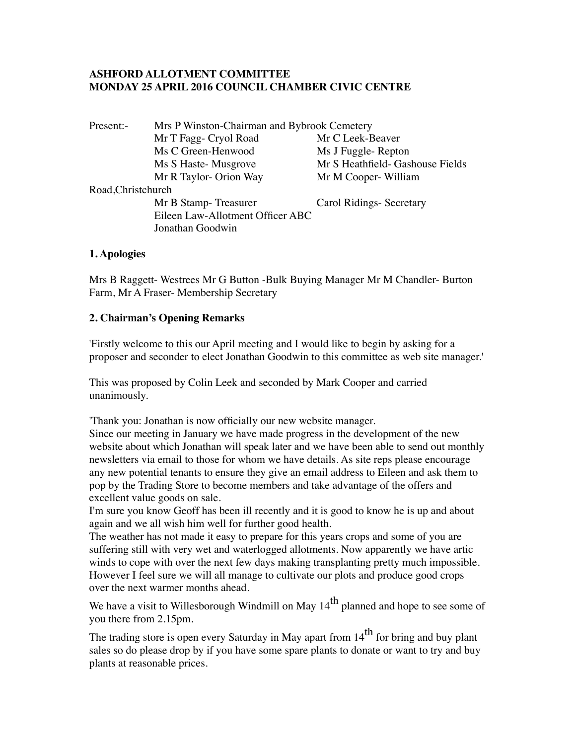# **ASHFORD ALLOTMENT COMMITTEE MONDAY 25 APRIL 2016 COUNCIL CHAMBER CIVIC CENTRE**

| Present:-          | Mrs P Winston-Chairman and Bybrook Cemetery |                                  |
|--------------------|---------------------------------------------|----------------------------------|
|                    | Mr T Fagg- Cryol Road                       | Mr C Leek-Beaver                 |
|                    | Ms C Green-Henwood                          | Ms J Fuggle-Repton               |
|                    | Ms S Haste-Musgrove                         | Mr S Heathfield- Gashouse Fields |
|                    | Mr R Taylor- Orion Way                      | Mr M Cooper-William              |
| Road, Christchurch |                                             |                                  |
|                    | Mr B Stamp-Treasurer                        | Carol Ridings-Secretary          |
|                    | Eileen Law-Allotment Officer ABC            |                                  |
|                    | Jonathan Goodwin                            |                                  |
|                    |                                             |                                  |

#### **1. Apologies**

Mrs B Raggett- Westrees Mr G Button -Bulk Buying Manager Mr M Chandler- Burton Farm, Mr A Fraser- Membership Secretary

#### **2. Chairman's Opening Remarks**

'Firstly welcome to this our April meeting and I would like to begin by asking for a proposer and seconder to elect Jonathan Goodwin to this committee as web site manager.'

This was proposed by Colin Leek and seconded by Mark Cooper and carried unanimously.

'Thank you: Jonathan is now officially our new website manager.

Since our meeting in January we have made progress in the development of the new website about which Jonathan will speak later and we have been able to send out monthly newsletters via email to those for whom we have details. As site reps please encourage any new potential tenants to ensure they give an email address to Eileen and ask them to pop by the Trading Store to become members and take advantage of the offers and excellent value goods on sale.

I'm sure you know Geoff has been ill recently and it is good to know he is up and about again and we all wish him well for further good health.

The weather has not made it easy to prepare for this years crops and some of you are suffering still with very wet and waterlogged allotments. Now apparently we have artic winds to cope with over the next few days making transplanting pretty much impossible. However I feel sure we will all manage to cultivate our plots and produce good crops over the next warmer months ahead.

We have a visit to Willesborough Windmill on May 14<sup>th</sup> planned and hope to see some of you there from 2.15pm.

The trading store is open every Saturday in May apart from  $14<sup>th</sup>$  for bring and buy plant sales so do please drop by if you have some spare plants to donate or want to try and buy plants at reasonable prices.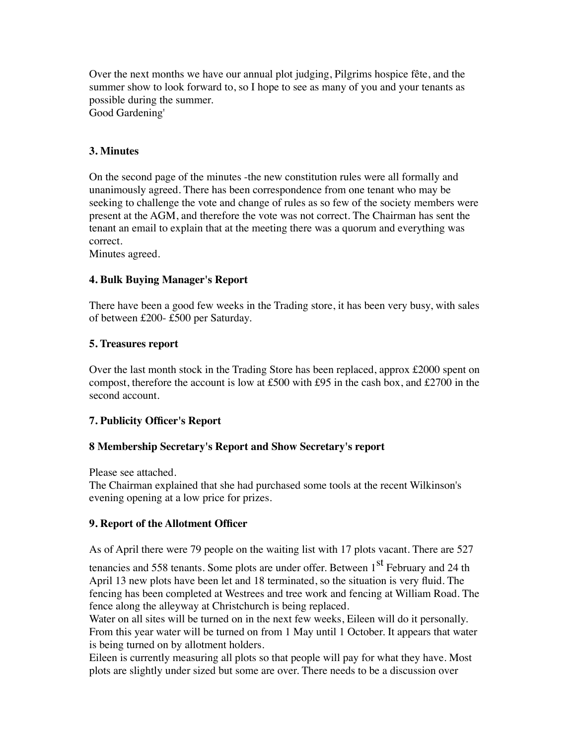Over the next months we have our annual plot judging, Pilgrims hospice fête, and the summer show to look forward to, so I hope to see as many of you and your tenants as possible during the summer. Good Gardening'

### **3. Minutes**

On the second page of the minutes -the new constitution rules were all formally and unanimously agreed. There has been correspondence from one tenant who may be seeking to challenge the vote and change of rules as so few of the society members were present at the AGM, and therefore the vote was not correct. The Chairman has sent the tenant an email to explain that at the meeting there was a quorum and everything was correct.

Minutes agreed.

#### **4. Bulk Buying Manager's Report**

There have been a good few weeks in the Trading store, it has been very busy, with sales of between £200- £500 per Saturday.

#### **5. Treasures report**

Over the last month stock in the Trading Store has been replaced, approx £2000 spent on compost, therefore the account is low at £500 with £95 in the cash box, and £2700 in the second account.

#### **7. Publicity Officer's Report**

#### **8 Membership Secretary's Report and Show Secretary's report**

Please see attached.

The Chairman explained that she had purchased some tools at the recent Wilkinson's evening opening at a low price for prizes.

#### **9. Report of the Allotment Officer**

As of April there were 79 people on the waiting list with 17 plots vacant. There are 527

tenancies and 558 tenants. Some plots are under offer. Between 1<sup>st</sup> February and 24 th April 13 new plots have been let and 18 terminated, so the situation is very fluid. The fencing has been completed at Westrees and tree work and fencing at William Road. The fence along the alleyway at Christchurch is being replaced.

Water on all sites will be turned on in the next few weeks, Eileen will do it personally. From this year water will be turned on from 1 May until 1 October. It appears that water is being turned on by allotment holders.

Eileen is currently measuring all plots so that people will pay for what they have. Most plots are slightly under sized but some are over. There needs to be a discussion over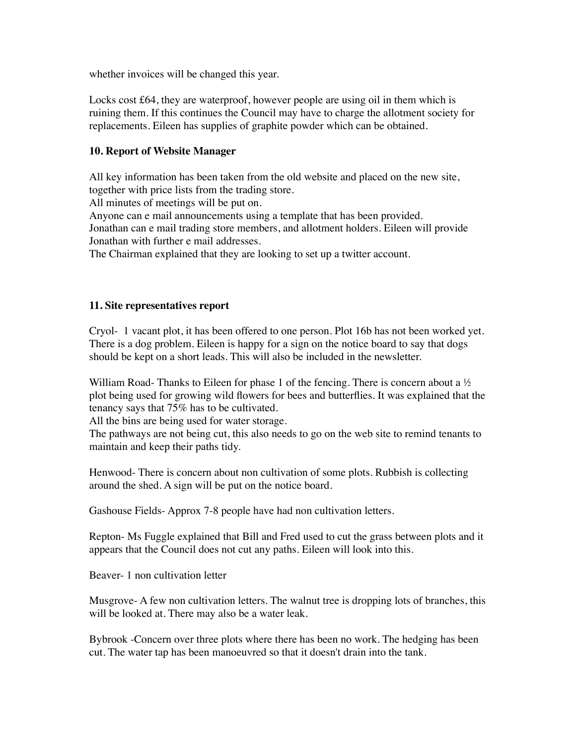whether invoices will be changed this year.

Locks cost £64, they are waterproof, however people are using oil in them which is ruining them. If this continues the Council may have to charge the allotment society for replacements. Eileen has supplies of graphite powder which can be obtained.

# **10. Report of Website Manager**

All key information has been taken from the old website and placed on the new site, together with price lists from the trading store.

All minutes of meetings will be put on.

Anyone can e mail announcements using a template that has been provided. Jonathan can e mail trading store members, and allotment holders. Eileen will provide Jonathan with further e mail addresses.

The Chairman explained that they are looking to set up a twitter account.

#### **11. Site representatives report**

Cryol- 1 vacant plot, it has been offered to one person. Plot 16b has not been worked yet. There is a dog problem. Eileen is happy for a sign on the notice board to say that dogs should be kept on a short leads. This will also be included in the newsletter.

William Road- Thanks to Eileen for phase 1 of the fencing. There is concern about a  $\frac{1}{2}$ plot being used for growing wild flowers for bees and butterflies. It was explained that the tenancy says that 75% has to be cultivated.

All the bins are being used for water storage.

The pathways are not being cut, this also needs to go on the web site to remind tenants to maintain and keep their paths tidy.

Henwood- There is concern about non cultivation of some plots. Rubbish is collecting around the shed. A sign will be put on the notice board.

Gashouse Fields- Approx 7-8 people have had non cultivation letters.

Repton- Ms Fuggle explained that Bill and Fred used to cut the grass between plots and it appears that the Council does not cut any paths. Eileen will look into this.

Beaver- 1 non cultivation letter

Musgrove- A few non cultivation letters. The walnut tree is dropping lots of branches, this will be looked at. There may also be a water leak.

Bybrook -Concern over three plots where there has been no work. The hedging has been cut. The water tap has been manoeuvred so that it doesn't drain into the tank.